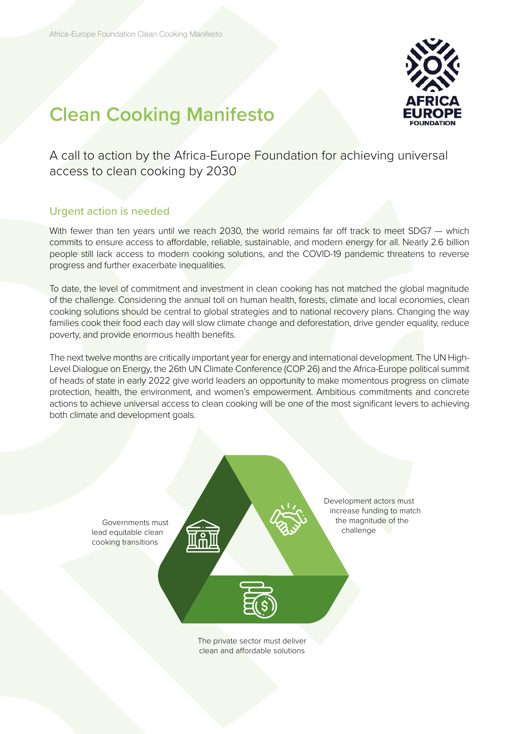

# **Clean Cooking Manifesto**

A call to action by the Africa-Europe Foundation for achieving universal access to clean cooking by 2030

# Urgent action is needed

With fewer than ten years until we reach 2030, the world remains far off track to meet SDG7 — which commits to ensure access to affordable, reliable, sustainable, and modern energy for all. Nearly 2.6 billion people still lack access to modern cooking solutions, and the COVID-19 pandemic threatens to reverse progress and further exacerbate inequalities.

To date, the level of commitment and investment in clean cooking has not matched the global magnitude of the challenge. Considering the annual toll on human health, forests, climate and local economies, clean cooking solutions should be central to global strategies and to national recovery plans. Changing the way families cook their food each day will slow climate change and deforestation, drive gender equality, reduce poverty, and provide enormous health benefits.

The next twelve months are critically important year for energy and international development. The UN High-Level Dialogue on Energy, the 26th UN Climate Conference (COP 26) and the Africa-Europe political summit of heads of state in early 2022 give world leaders an opportunity to make momentous progress on climate protection, health, the environment, and women's empowerment. Ambitious commitments and concrete actions to achieve universal access to clean cooking will be one of the most significant levers to achieving both climate and development goals.

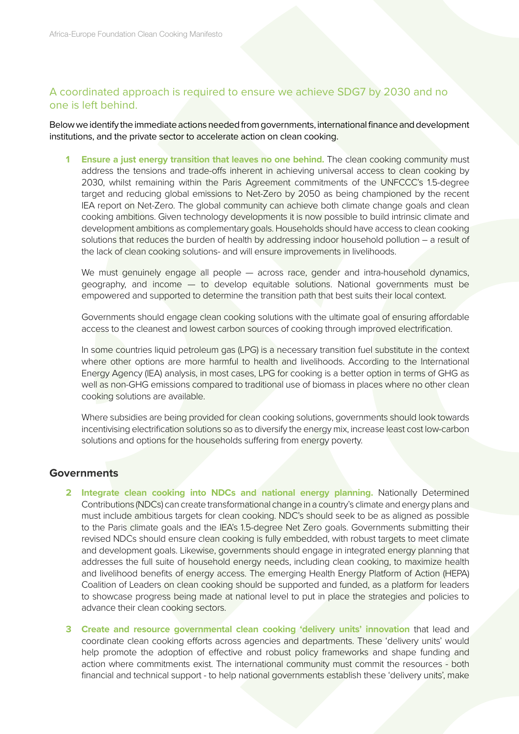# A coordinated approach is required to ensure we achieve SDG7 by 2030 and no one is left behind.

Below we identify the immediate actions needed from governments, international finance and development institutions, and the private sector to accelerate action on clean cooking.

**1 Ensure a just energy transition that leaves no one behind.** The clean cooking community must address the tensions and trade-offs inherent in achieving universal access to clean cooking by 2030, whilst remaining within the Paris Agreement commitments of the UNFCCC's 1.5-degree target and reducing global emissions to Net-Zero by 2050 as being championed by the recent IEA report on Net-Zero. The global community can achieve both climate change goals and clean cooking ambitions. Given technology developments it is now possible to build intrinsic climate and development ambitions as complementary goals. Households should have access to clean cooking solutions that reduces the burden of health by addressing indoor household pollution – a result of the lack of clean cooking solutions- and will ensure improvements in livelihoods.

We must genuinely engage all people — across race, gender and intra-household dynamics, geography, and income — to develop equitable solutions. National governments must be empowered and supported to determine the transition path that best suits their local context.

Governments should engage clean cooking solutions with the ultimate goal of ensuring affordable access to the cleanest and lowest carbon sources of cooking through improved electrification.

In some countries liquid petroleum gas (LPG) is a necessary transition fuel substitute in the context where other options are more harmful to health and livelihoods. According to the International Energy Agency (IEA) analysis, in most cases, LPG for cooking is a better option in terms of GHG as well as non-GHG emissions compared to traditional use of biomass in places where no other clean cooking solutions are available.

Where subsidies are being provided for clean cooking solutions, governments should look towards incentivising electrification solutions so as to diversify the energy mix, increase least cost low-carbon solutions and options for the households suffering from energy poverty.

## **Governments**

- **2 Integrate clean cooking into NDCs and national energy planning.** Nationally Determined Contributions (NDCs) can create transformational change in a country's climate and energy plans and must include ambitious targets for clean cooking. NDC's should seek to be as aligned as possible to the Paris climate goals and the IEA's 1.5-degree Net Zero goals. Governments submitting their revised NDCs should ensure clean cooking is fully embedded, with robust targets to meet climate and development goals. Likewise, governments should engage in integrated energy planning that addresses the full suite of household energy needs, including clean cooking, to maximize health and livelihood benefits of energy access. The emerging Health Energy Platform of Action (HEPA) Coalition of Leaders on clean cooking should be supported and funded, as a platform for leaders to showcase progress being made at national level to put in place the strategies and policies to advance their clean cooking sectors.
- **3 Create and resource governmental clean cooking 'delivery units' innovation** that lead and coordinate clean cooking efforts across agencies and departments. These 'delivery units' would help promote the adoption of effective and robust policy frameworks and shape funding and action where commitments exist. The international community must commit the resources - both financial and technical support - to help national governments establish these 'delivery units', make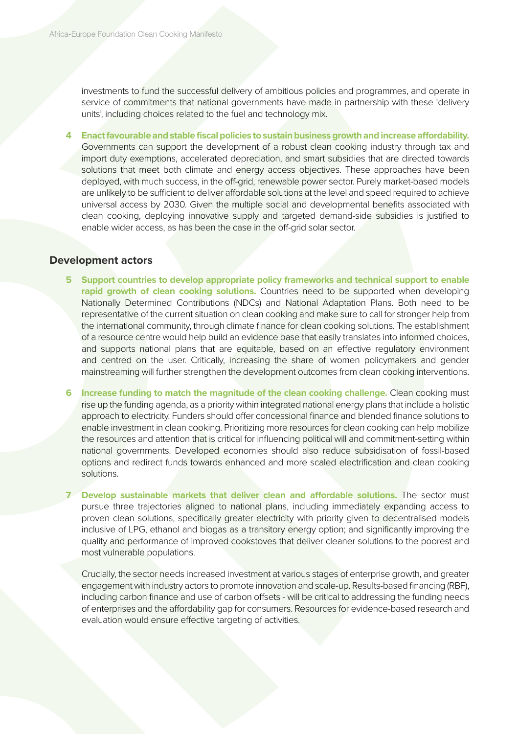investments to fund the successful delivery of ambitious policies and programmes, and operate in service of commitments that national governments have made in partnership with these 'delivery units', including choices related to the fuel and technology mix.

**4 Enact favourable and stable fiscal policies to sustain business growth and increase affordability.** Governments can support the development of a robust clean cooking industry through tax and import duty exemptions, accelerated depreciation, and smart subsidies that are directed towards solutions that meet both climate and energy access objectives. These approaches have been deployed, with much success, in the off-grid, renewable power sector. Purely market-based models are unlikely to be sufficient to deliver affordable solutions at the level and speed required to achieve universal access by 2030. Given the multiple social and developmental benefits associated with clean cooking, deploying innovative supply and targeted demand-side subsidies is justified to enable wider access, as has been the case in the off-grid solar sector.

#### **Development actors**

- **5 Support countries to develop appropriate policy frameworks and technical support to enable rapid growth of clean cooking solutions.** Countries need to be supported when developing Nationally Determined Contributions (NDCs) and National Adaptation Plans. Both need to be representative of the current situation on clean cooking and make sure to call for stronger help from the international community, through climate finance for clean cooking solutions. The establishment of a resource centre would help build an evidence base that easily translates into informed choices, and supports national plans that are equitable, based on an effective regulatory environment and centred on the user. Critically, increasing the share of women policymakers and gender mainstreaming will further strengthen the development outcomes from clean cooking interventions.
- **6 Increase funding to match the magnitude of the clean cooking challenge.** Clean cooking must rise up the funding agenda, as a priority within integrated national energy plans that include a holistic approach to electricity. Funders should offer concessional finance and blended finance solutions to enable investment in clean cooking. Prioritizing more resources for clean cooking can help mobilize the resources and attention that is critical for influencing political will and commitment-setting within national governments. Developed economies should also reduce subsidisation of fossil-based options and redirect funds towards enhanced and more scaled electrification and clean cooking solutions.
- **7 Develop sustainable markets that deliver clean and affordable solutions.** The sector must pursue three trajectories aligned to national plans, including immediately expanding access to proven clean solutions, specifically greater electricity with priority given to decentralised models inclusive of LPG, ethanol and biogas as a transitory energy option; and significantly improving the quality and performance of improved cookstoves that deliver cleaner solutions to the poorest and most vulnerable populations.

Crucially, the sector needs increased investment at various stages of enterprise growth, and greater engagement with industry actors to promote innovation and scale-up. Results-based financing (RBF), including carbon finance and use of carbon offsets - will be critical to addressing the funding needs of enterprises and the affordability gap for consumers. Resources for evidence-based research and evaluation would ensure effective targeting of activities.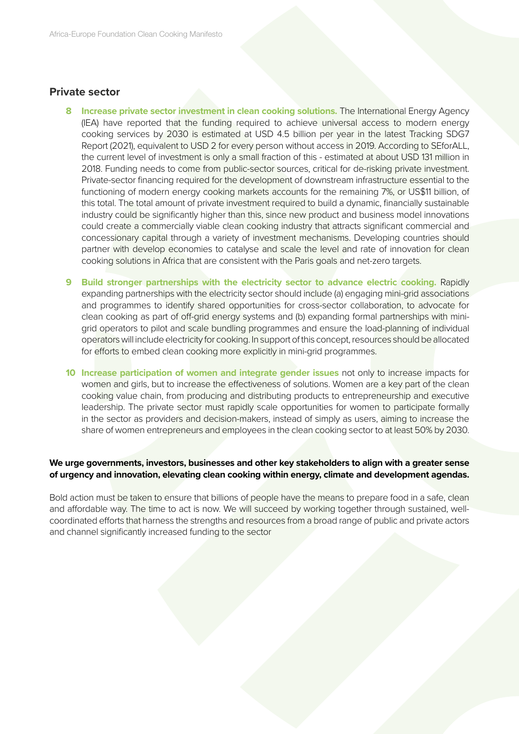### **Private sector**

- **8 Increase private sector investment in clean cooking solutions.** The International Energy Agency (IEA) have reported that the funding required to achieve universal access to modern energy cooking services by 2030 is estimated at USD 4.5 billion per year in the latest Tracking SDG7 Report (2021), equivalent to USD 2 for every person without access in 2019. According to SEforALL, the current level of investment is only a small fraction of this - estimated at about USD 131 million in 2018. Funding needs to come from public-sector sources, critical for de-risking private investment. Private-sector financing required for the development of downstream infrastructure essential to the functioning of modern energy cooking markets accounts for the remaining 7%, or US\$11 billion, of this total. The total amount of private investment required to build a dynamic, financially sustainable industry could be significantly higher than this, since new product and business model innovations could create a commercially viable clean cooking industry that attracts significant commercial and concessionary capital through a variety of investment mechanisms. Developing countries should partner with develop economies to catalyse and scale the level and rate of innovation for clean cooking solutions in Africa that are consistent with the Paris goals and net-zero targets.
- **9 Build stronger partnerships with the electricity sector to advance electric cooking.** Rapidly expanding partnerships with the electricity sector should include (a) engaging mini-grid associations and programmes to identify shared opportunities for cross-sector collaboration, to advocate for clean cooking as part of off-grid energy systems and (b) expanding formal partnerships with minigrid operators to pilot and scale bundling programmes and ensure the load-planning of individual operators will include electricity for cooking. In support of this concept, resources should be allocated for efforts to embed clean cooking more explicitly in mini-grid programmes.
- **10 Increase participation of women and integrate gender issues** not only to increase impacts for women and girls, but to increase the effectiveness of solutions. Women are a key part of the clean cooking value chain, from producing and distributing products to entrepreneurship and executive leadership. The private sector must rapidly scale opportunities for women to participate formally in the sector as providers and decision-makers, instead of simply as users, aiming to increase the share of women entrepreneurs and employees in the clean cooking sector to at least 50% by 2030.

#### **We urge governments, investors, businesses and other key stakeholders to align with a greater sense of urgency and innovation, elevating clean cooking within energy, climate and development agendas.**

Bold action must be taken to ensure that billions of people have the means to prepare food in a safe, clean and affordable way. The time to act is now. We will succeed by working together through sustained, wellcoordinated efforts that harness the strengths and resources from a broad range of public and private actors and channel significantly increased funding to the sector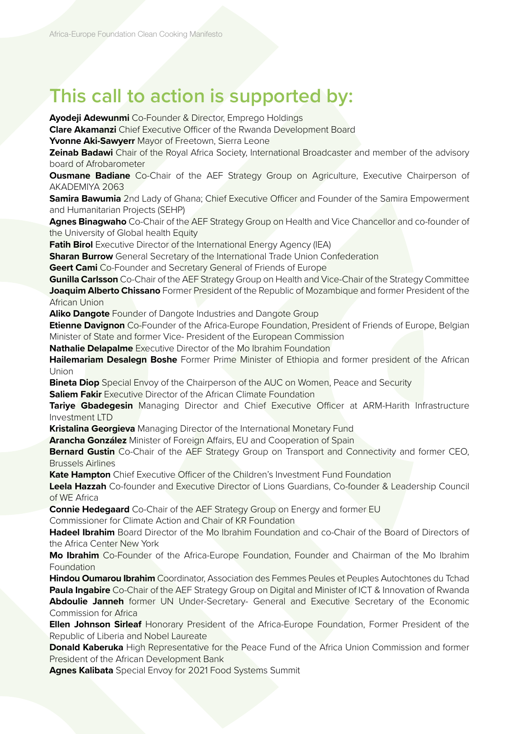# **This call to action is supported by:**

**Ayodeji Adewunmi** Co-Founder & Director, Emprego Holdings

**Clare Akamanzi** Chief Executive Officer of the Rwanda Development Board

**Yvonne Aki-Sawyerr** Mayor of Freetown, Sierra Leone

**Zeinab Badawi** Chair of the Royal Africa Society, International Broadcaster and member of the advisory board of Afrobarometer

**Ousmane Badiane** Co-Chair of the AEF Strategy Group on Agriculture, Executive Chairperson of AKADEMIYA 2063

**Samira Bawumia** 2nd Lady of Ghana; Chief Executive Officer and Founder of the Samira Empowerment and Humanitarian Projects (SEHP)

Agnes Binagwaho Co-Chair of the AEF Strategy Group on Health and Vice Chancellor and co-founder of the University of Global health Equity

**Fatih Birol** Executive Director of the International Energy Agency (IEA)

**Sharan Burrow** General Secretary of the International Trade Union Confederation

**Geert Cami** Co-Founder and Secretary General of Friends of Europe

**Gunilla Carlsson** Co-Chair of the AEF Strategy Group on Health and Vice-Chair of the Strategy Committee **Joaquim Alberto Chissano** Former President of the Republic of Mozambique and former President of the African Union

**Aliko Dangote** Founder of Dangote Industries and Dangote Group

**Etienne Davignon** Co-Founder of the Africa-Europe Foundation, President of Friends of Europe, Belgian Minister of State and former Vice- President of the European Commission

**Nathalie Delapalme** Executive Director of the Mo Ibrahim Foundation

**Hailemariam Desalegn Boshe** Former Prime Minister of Ethiopia and former president of the African Union

**Bineta Diop** Special Envoy of the Chairperson of the AUC on Women, Peace and Security

**Saliem Fakir** Executive Director of the African Climate Foundation

**Tariye Gbadegesin** Managing Director and Chief Executive Officer at ARM-Harith Infrastructure Investment LTD

**Kristalina Georgieva** Managing Director of the International Monetary Fund

**Arancha González** Minister of Foreign Affairs, EU and Cooperation of Spain

**Bernard Gustin** Co-Chair of the AEF Strategy Group on Transport and Connectivity and former CEO, Brussels Airlines

**Kate Hampton** Chief Executive Officer of the Children's Investment Fund Foundation

**Leela Hazzah** Co-founder and Executive Director of Lions Guardians, Co-founder & Leadership Council of WE Africa

**Connie Hedegaard** Co-Chair of the AEF Strategy Group on Energy and former EU

Commissioner for Climate Action and Chair of KR Foundation

**Hadeel Ibrahim** Board Director of the Mo Ibrahim Foundation and co-Chair of the Board of Directors of the Africa Center New York

**Mo Ibrahim** Co-Founder of the Africa-Europe Foundation, Founder and Chairman of the Mo Ibrahim **Foundation** 

**Hindou Oumarou Ibrahim** Coordinator, Association des Femmes Peules et Peuples Autochtones du Tchad **Paula Ingabire** Co-Chair of the AEF Strategy Group on Digital and Minister of ICT & Innovation of Rwanda **Abdoulie Janneh** former UN Under-Secretary- General and Executive Secretary of the Economic Commission for Africa

**Ellen Johnson Sirleaf** Honorary President of the Africa-Europe Foundation, Former President of the Republic of Liberia and Nobel Laureate

**Donald Kaberuka** High Representative for the Peace Fund of the Africa Union Commission and former President of the African Development Bank

**Agnes Kalibata** Special Envoy for 2021 Food Systems Summit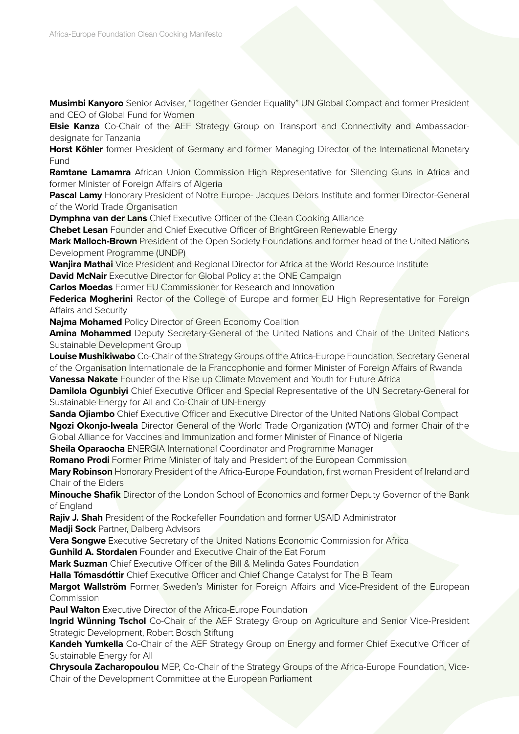**Musimbi Kanyoro** Senior Adviser, "Together Gender Equality" UN Global Compact and former President and CEO of Global Fund for Women

**Elsie Kanza** Co-Chair of the AEF Strategy Group on Transport and Connectivity and Ambassadordesignate for Tanzania

**Horst Köhler** former President of Germany and former Managing Director of the International Monetary Fund

**Ramtane Lamamra** African Union Commission High Representative for Silencing Guns in Africa and former Minister of Foreign Affairs of Algeria

**Pascal Lamy** Honorary President of Notre Europe- Jacques Delors Institute and former Director-General of the World Trade Organisation

**Dymphna van der Lans** Chief Executive Officer of the Clean Cooking Alliance

**Chebet Lesan** Founder and Chief Executive Officer of BrightGreen Renewable Energy

**Mark Malloch-Brown** President of the Open Society Foundations and former head of the United Nations Development Programme (UNDP)

**Wanjira Mathai** Vice President and Regional Director for Africa at the World Resource Institute

**David McNair** Executive Director for Global Policy at the ONE Campaign

**Carlos Moedas** Former EU Commissioner for Research and Innovation

**Federica Mogherini** Rector of the College of Europe and former EU High Representative for Foreign Affairs and Security

**Najma Mohamed** Policy Director of Green Economy Coalition

**Amina Mohammed** Deputy Secretary-General of the United Nations and Chair of the United Nations Sustainable Development Group

**Louise Mushikiwabo** Co-Chair of the Strategy Groups of the Africa-Europe Foundation, Secretary General of the Organisation Internationale de la Francophonie and former Minister of Foreign Affairs of Rwanda

**Vanessa Nakate** Founder of the Rise up Climate Movement and Youth for Future Africa

**Damilola Ogunbiyi** Chief Executive Officer and Special Representative of the UN Secretary-General for Sustainable Energy for All and Co-Chair of UN-Energy

**Sanda Ojiambo** Chief Executive Officer and Executive Director of the United Nations Global Compact **Ngozi Okonjo-Iweala** Director General of the World Trade Organization (WTO) and former Chair of the Global Alliance for Vaccines and Immunization and former Minister of Finance of Nigeria

**Sheila Oparaocha** ENERGIA International Coordinator and Programme Manager

**Romano Prodi** Former Prime Minister of Italy and President of the European Commission

**Mary Robinson** Honorary President of the Africa-Europe Foundation, first woman President of Ireland and Chair of the Elders

**Minouche Shafik** Director of the London School of Economics and former Deputy Governor of the Bank of England

**Rajiv J. Shah** President of the Rockefeller Foundation and former USAID Administrator **Madji Sock** Partner, Dalberg Advisors

**Vera Songwe** Executive Secretary of the United Nations Economic Commission for Africa

**Gunhild A. Stordalen** Founder and Executive Chair of the Eat Forum

**Mark Suzman** Chief Executive Officer of the Bill & Melinda Gates Foundation

**Halla Tómasdóttir** Chief Executive Officer and Chief Change Catalyst for The B Team

**Margot Wallström** Former Sweden's Minister for Foreign Affairs and Vice-President of the European Commission

**Paul Walton** Executive Director of the Africa-Europe Foundation

**Ingrid Wünning Tschol** Co-Chair of the AEF Strategy Group on Agriculture and Senior Vice-President Strategic Development, Robert Bosch Stiftung

**Kandeh Yumkella** Co-Chair of the AEF Strategy Group on Energy and former Chief Executive Officer of Sustainable Energy for All

**Chrysoula Zacharopoulou** MEP, Co-Chair of the Strategy Groups of the Africa-Europe Foundation, Vice-Chair of the Development Committee at the European Parliament